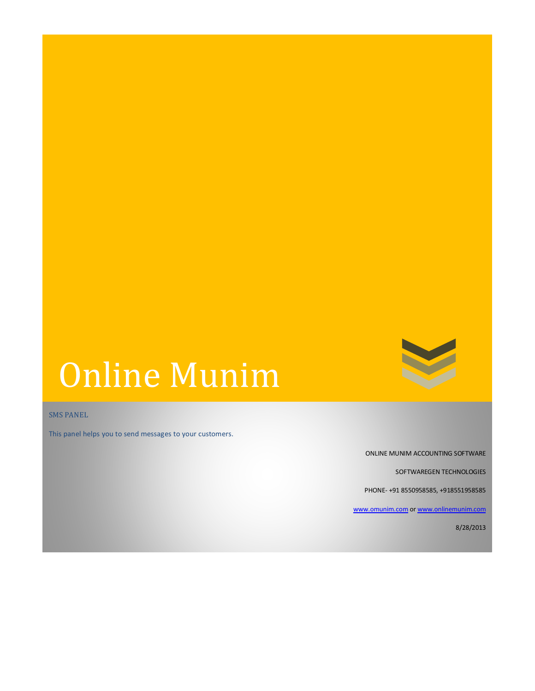

# Online Munim

SMS PANEL

This panel helps you to send messages to your customers.

ONLINE MUNIM ACCOUNTING SOFTWARE

SOFTWAREGEN TECHNOLOGIES

PHONE- +91 8550958585, +918551958585

[www.omunim.com](http://www.omunim.com/) o[r www.onlinemunim.com](http://www.onlinemunim.com/)

8/28/2013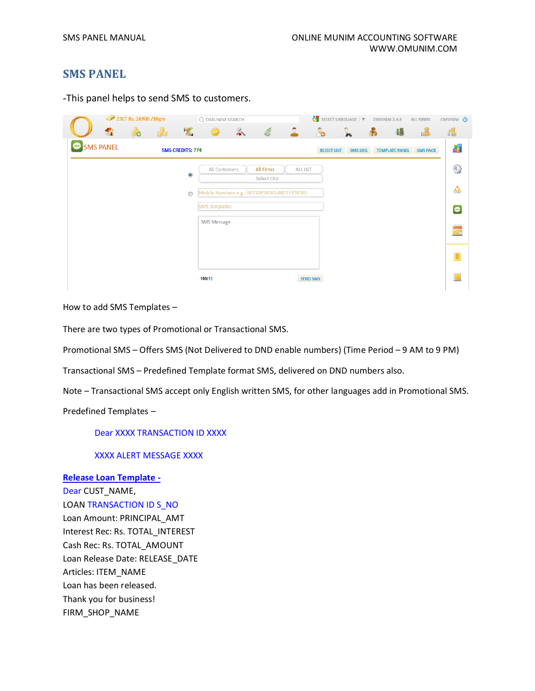# **SMS PANEL**

-This panel helps to send SMS to customers.

|           |   | 23CT Rs. 26900 /10gm |   |                         | Q OMUNIM SEARCH      |                 |                                              |                 |                    | SELECT LANGUAGE $\vert \blacktriangledown$ | <b>OMUNIM 2.4.8</b>   | <b>ALL FIRMS</b> | OMUNIM <b>@</b>                                                 |
|-----------|---|----------------------|---|-------------------------|----------------------|-----------------|----------------------------------------------|-----------------|--------------------|--------------------------------------------|-----------------------|------------------|-----------------------------------------------------------------|
|           | û | 6                    | 晶 |                         |                      | $\hat{\bullet}$ | Ĉ,                                           | $\mathbf{D}$    | <b>Po</b>          | ್ಲ                                         | 疆<br>Ð                | L                | 檙                                                               |
| SMS PANEL |   |                      |   | <b>SMS CREDITS: 774</b> |                      |                 |                                              |                 | <b>REJECT LIST</b> | <b>SMS LOG</b>                             | <b>TEMPLATE PANEL</b> | <b>SMS PACK</b>  | H                                                               |
|           |   |                      |   | $\bullet$               | All Customers        |                 | All Firms<br>Select City                     | <b>ALL INT</b>  |                    |                                            |                       |                  | $\begin{pmatrix} 0 \\ 0 \end{pmatrix}$                          |
|           |   |                      |   | $\circledcirc$          |                      |                 | Mobile Numbers e.g.: 08550958585;08551958585 |                 |                    |                                            |                       |                  | $\mathcal{E}_{\mathcal{D}}$                                     |
|           |   |                      |   |                         | <b>SMS Templates</b> |                 |                                              |                 |                    |                                            |                       |                  | $\bullet$                                                       |
|           |   |                      |   |                         | <b>SMS Message</b>   |                 |                                              |                 |                    |                                            |                       |                  | $\begin{array}{ c } \hline \text{mod} \\ \hline 24 \end{array}$ |
|           |   |                      |   |                         |                      |                 |                                              |                 |                    |                                            |                       |                  |                                                                 |
|           |   |                      |   |                         | 160(1)               |                 |                                              | <b>SEND SMS</b> |                    |                                            |                       |                  | H                                                               |

How to add SMS Templates –

There are two types of Promotional or Transactional SMS.

Promotional SMS – Offers SMS (Not Delivered to DND enable numbers) (Time Period – 9 AM to 9 PM)

Transactional SMS – Predefined Template format SMS, delivered on DND numbers also.

Note – Transactional SMS accept only English written SMS, for other languages add in Promotional SMS.

Predefined Templates –

Dear XXXX TRANSACTION ID XXXX

XXXX ALERT MESSAGE XXXX

### **Release Loan Template -**

Dear CUST\_NAME, LOAN TRANSACTION ID S\_NO Loan Amount: PRINCIPAL\_AMT Interest Rec: Rs. TOTAL\_INTEREST Cash Rec: Rs. TOTAL\_AMOUNT Loan Release Date: RELEASE\_DATE Articles: ITEM\_NAME Loan has been released. Thank you for business! FIRM\_SHOP\_NAME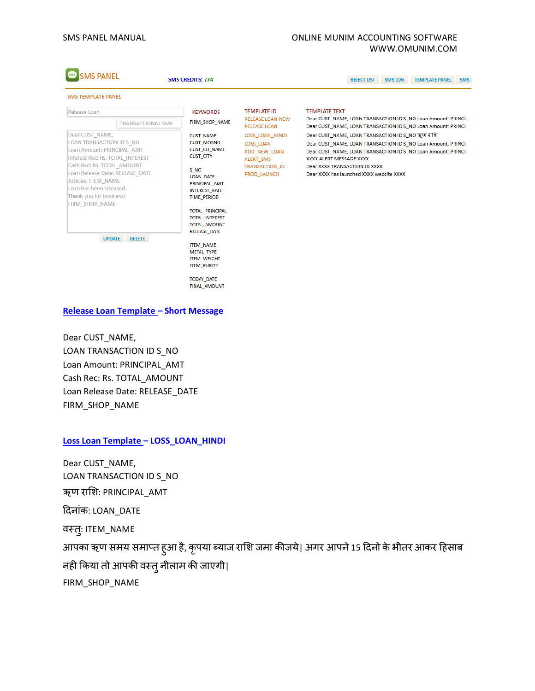#### SMS PANEL MANUAL **SMS PANEL MANUAL ONLINE MUNIM ACCOUNTING SOFTWARE** WWW.OMUNIM.COM

| <b>SMS PANEL</b>                                                                                                                                                                                                                         | <b>SMS CREDITS: 774</b>  | <b>SMS LOG</b><br><b>REJECT LIST</b>                                                                                                                                                                             | <b>TEMPLATE PANEL</b><br>SMS <sub>I</sub>                                                                |                                                                                                                                                                                                                                                                                          |  |  |  |  |  |
|------------------------------------------------------------------------------------------------------------------------------------------------------------------------------------------------------------------------------------------|--------------------------|------------------------------------------------------------------------------------------------------------------------------------------------------------------------------------------------------------------|----------------------------------------------------------------------------------------------------------|------------------------------------------------------------------------------------------------------------------------------------------------------------------------------------------------------------------------------------------------------------------------------------------|--|--|--|--|--|
| <b>SMS TEMPLATE PANEL</b>                                                                                                                                                                                                                |                          |                                                                                                                                                                                                                  |                                                                                                          |                                                                                                                                                                                                                                                                                          |  |  |  |  |  |
| Release Loan<br>Dear CUST NAME,                                                                                                                                                                                                          | <b>TRANSACTIONAL SMS</b> | <b>KEYWORDS</b><br>FIRM SHOP NAME                                                                                                                                                                                | <b>TEMPLATE ID</b><br><b>RELEASE LOAN NEW</b><br><b>RELEASE LOAN</b>                                     | <b>TEMPLATE TEXT</b><br>Dear CUST_NAME, LOAN TRANSACTION ID S_NO Loan Amount: PRINCI<br>Dear CUST NAME, LOAN TRANSACTION ID S NO Loan Amount: PRINCI                                                                                                                                     |  |  |  |  |  |
| LOAN TRANSACTION ID S NO<br>Loan Amount: PRINCIPAL AMT<br>Interest Rec: Rs. TOTAL INTEREST<br>Cash Rec: Rs. TOTAL AMOUNT<br>Loan Release Date: RELEASE DATE<br>Articles: ITEM NAME<br>Loan has been released.<br>Thank you for business! |                          | <b>CUST_NAME</b><br><b>CUST_MOBNO</b><br>CUST_CO_NAME<br><b>CUST CITY</b><br>S NO<br>LOAN_DATE<br>PRINCIPAL AMT<br><b>INTEREST_RATE</b><br><b>TIME PERIOD</b>                                                    | LOSS_LOAN_HINDI<br><b>LOSS LOAN</b><br>ADD NEW LOAN<br>ALERT_SMS<br><b>TRANSACTION ID</b><br>PROD LAUNCH | Dear CUST_NAME, LOAN TRANSACTION ID S_NO ऋण राशि<br>Dear CUST_NAME, LOAN TRANSACTION ID S_NO Loan Amount: PRINCI<br>Dear CUST NAME, LOAN TRANSACTION ID S NO Loan Amount: PRINCI<br>XXXX ALERT MESSAGE XXXX<br>Dear XXXX TRANSACTION ID XXXX<br>Dear XXXX has launched XXXX website XXXX |  |  |  |  |  |
| <b>FIRM SHOP NAME</b><br><b>UPDATE</b>                                                                                                                                                                                                   | <b>DELETE</b>            | <b>TOTAL PRINCIPAL</b><br><b>TOTAL_INTEREST</b><br>TOTAL_AMOUNT<br>RELEASE DATE<br><b>ITEM NAME</b><br><b>METAL TYPE</b><br><b>ITEM_WEIGHT</b><br><b>ITEM_PURITY</b><br><b>TODAY DATE</b><br><b>FINAL AMOUNT</b> |                                                                                                          |                                                                                                                                                                                                                                                                                          |  |  |  |  |  |

## **Release Loan Template – Short Message**

Dear CUST\_NAME, LOAN TRANSACTION ID S\_NO Loan Amount: PRINCIPAL\_AMT Cash Rec: Rs. TOTAL\_AMOUNT Loan Release Date: RELEASE\_DATE FIRM\_SHOP\_NAME

#### **Loss Loan Template – LOSS\_LOAN\_HINDI**

Dear CUST\_NAME, LOAN TRANSACTION ID S\_NO ऋण राशि: PRINCIPAL\_AMT दिनाांक: LOAN\_DATE वस्तुः ITEM\_NAME आपका ऋण समय समाप्त हुआ है, कृपया ब्याज राशि जमा कीजये| अगर आपने 15 दिनो के भीतर आकर हिसाब नही ककया तो आपकी वस्तुनीलाम की जाएगी| FIRM\_SHOP\_NAME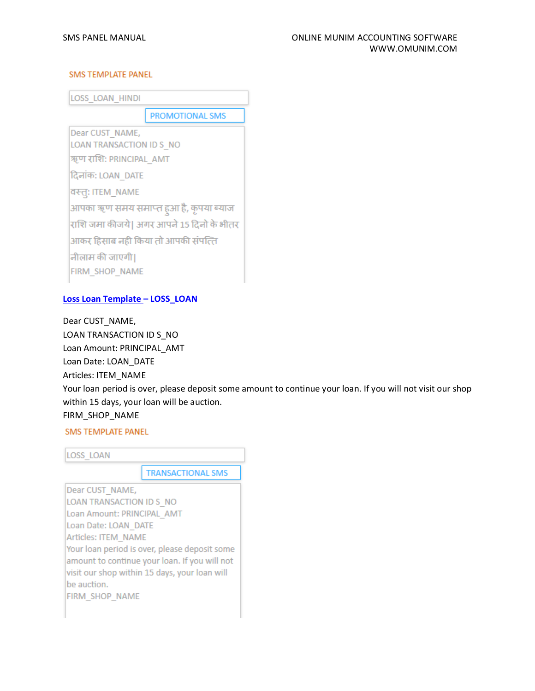#### **SMS TEMPLATE PANEL**

LOSS LOAN HINDI

**PROMOTIONAL SMS** 

Dear CUST NAME, LOAN TRANSACTION ID S NO

ऋण राशि: PRINCIPAL AMT

दिनांक: LOAN DATE

वस्तुः ITEM NAME

आपका ऋण समय समाप्त हुआ है, कृपया ब्याज राशि जमा कीजये। अगर आपने 15 दिनो के भीतर आकर हिसाब नहीं किया तो आपकी संपत्ति नीलाम की जाएगी। FIRM SHOP NAME

## **Loss Loan Template – LOSS\_LOAN**

Dear CUST\_NAME, LOAN TRANSACTION ID S\_NO Loan Amount: PRINCIPAL\_AMT Loan Date: LOAN\_DATE Articles: ITEM\_NAME Your loan period is over, please deposit some amount to continue your loan. If you will not visit our shop within 15 days, your loan will be auction. FIRM\_SHOP\_NAME

**SMS TEMPLATE PANEL** 



amount to continue your loan. If you will not visit our shop within 15 days, your loan will be auction. **FIRM SHOP NAME**